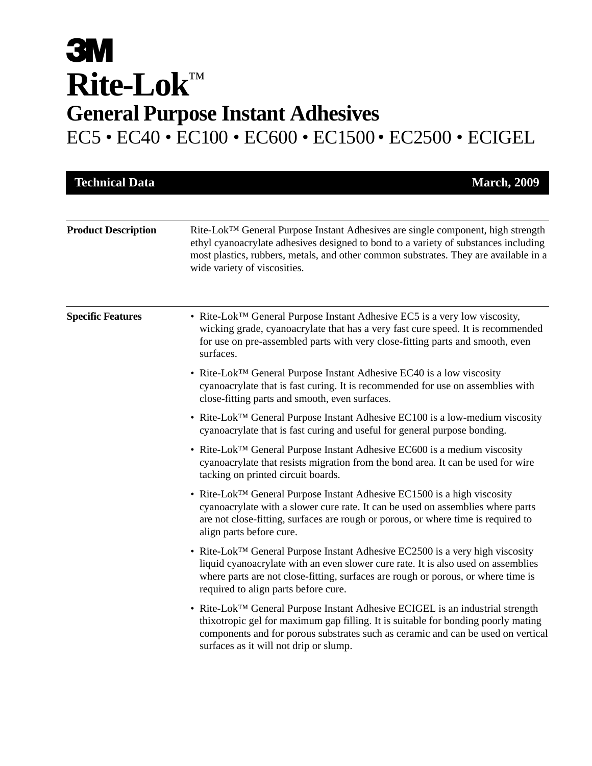# **3M Rite-Lok**™ **General Purpose Instant Adhesives** EC5 • EC40 • EC100 • EC600 • EC1500 • EC2500 • ECIGEL

**Product Description** Rite-Lok<sup>™</sup> General Purpose Instant Adhesives are single component, high strength ethyl cyanoacrylate adhesives designed to bond to a variety of substances including most plastics, rubbers, metals, and other common substrates. They are available in a wide variety of viscosities. **Technical Data** March, 2009 **Specific Features** • Rite-Lok<sup>™</sup> General Purpose Instant Adhesive EC5 is a very low viscosity, wicking grade, cyanoacrylate that has a very fast cure speed. It is recommended for use on pre-assembled parts with very close-fitting parts and smooth, even surfaces. • Rite-Lok™ General Purpose Instant Adhesive EC40 is a low viscosity cyanoacrylate that is fast curing. It is recommended for use on assemblies with close-fitting parts and smooth, even surfaces. • Rite-Lok™ General Purpose Instant Adhesive EC100 is a low-medium viscosity cyanoacrylate that is fast curing and useful for general purpose bonding. • Rite-Lok™ General Purpose Instant Adhesive EC600 is a medium viscosity cyanoacrylate that resists migration from the bond area. It can be used for wire tacking on printed circuit boards. • Rite-Lok™ General Purpose Instant Adhesive EC1500 is a high viscosity cyanoacrylate with a slower cure rate. It can be used on assemblies where parts are not close-fitting, surfaces are rough or porous, or where time is required to align parts before cure. • Rite-Lok™ General Purpose Instant Adhesive EC2500 is a very high viscosity liquid cyanoacrylate with an even slower cure rate. It is also used on assemblies where parts are not close-fitting, surfaces are rough or porous, or where time is required to align parts before cure. • Rite-Lok™ General Purpose Instant Adhesive ECIGEL is an industrial strength thixotropic gel for maximum gap filling. It is suitable for bonding poorly mating components and for porous substrates such as ceramic and can be used on vertical surfaces as it will not drip or slump.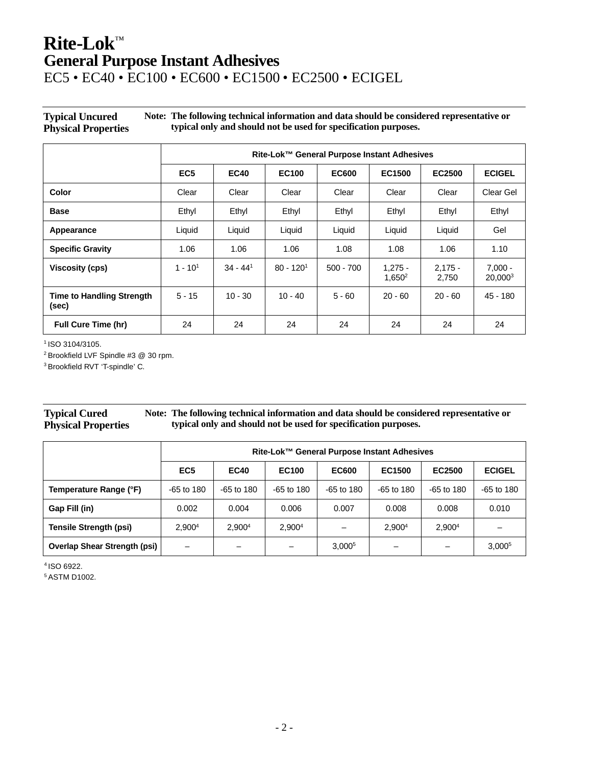## **Rite-Lok**™ **General Purpose Instant Adhesives**

## EC5 • EC40 • EC100 • EC600 • EC1500 • EC2500 • ECIGEL

**Typical Uncured Physical Properties Note: The following technical information and data should be considered representative or typical only and should not be used for specification purposes.**

|                                           | Rite-Lok™ General Purpose Instant Adhesives |             |              |              |                                 |                    |                      |
|-------------------------------------------|---------------------------------------------|-------------|--------------|--------------|---------------------------------|--------------------|----------------------|
|                                           | EC <sub>5</sub>                             | <b>EC40</b> | <b>EC100</b> | <b>EC600</b> | EC1500                          | <b>EC2500</b>      | <b>ECIGEL</b>        |
| Color                                     | Clear                                       | Clear       | Clear        | Clear        | Clear                           | Clear              | Clear Gel            |
| <b>Base</b>                               | Ethyl                                       | Ethyl       | Ethyl        | Ethyl        | Ethyl                           | Ethyl              | Ethyl                |
| Appearance                                | Liquid                                      | Liquid      | Liquid       | Liquid       | Liquid                          | Liquid             | Gel                  |
| <b>Specific Gravity</b>                   | 1.06                                        | 1.06        | 1.06         | 1.08         | 1.08                            | 1.06               | 1.10                 |
| <b>Viscosity (cps)</b>                    | $1 - 101$                                   | $34 - 441$  | $80 - 1201$  | $500 - 700$  | $1.275 -$<br>1,650 <sup>2</sup> | $2.175 -$<br>2,750 | $7.000 -$<br>20,0003 |
| <b>Time to Handling Strength</b><br>(sec) | $5 - 15$                                    | $10 - 30$   | $10 - 40$    | $5 - 60$     | $20 - 60$                       | $20 - 60$          | 45 - 180             |
| <b>Full Cure Time (hr)</b>                | 24                                          | 24          | 24           | 24           | 24                              | 24                 | 24                   |

1 ISO 3104/3105.

2 Brookfield LVF Spindle #3 @ 30 rpm.

3 Brookfield RVT 'T-spindle' C.

#### **Typical Cured Physical Properties Note: The following technical information and data should be considered representative or typical only and should not be used for specification purposes.**

|                                     | Rite-Lok™ General Purpose Instant Adhesives |                    |                    |                          |                          |                    |                    |
|-------------------------------------|---------------------------------------------|--------------------|--------------------|--------------------------|--------------------------|--------------------|--------------------|
|                                     | EC <sub>5</sub>                             | <b>EC40</b>        | <b>EC100</b>       | <b>EC600</b>             | EC1500                   | EC2500             | <b>ECIGEL</b>      |
| Temperature Range (°F)              | $-65$ to 180                                | $-65$ to 180       | $-65$ to 180       | $-65$ to 180             | $-65$ to 180             | $-65$ to 180       | $-65$ to 180       |
| Gap Fill (in)                       | 0.002                                       | 0.004              | 0.006              | 0.007                    | 0.008                    | 0.008              | 0.010              |
| <b>Tensile Strength (psi)</b>       | 2.900 <sup>4</sup>                          | 2.900 <sup>4</sup> | 2.900 <sup>4</sup> | $\overline{\phantom{0}}$ | 2.900 <sup>4</sup>       | 2.900 <sup>4</sup> |                    |
| <b>Overlap Shear Strength (psi)</b> |                                             |                    |                    | 3,000 <sup>5</sup>       | $\overline{\phantom{0}}$ |                    | 3,000 <sup>5</sup> |

4 ISO 6922.

5 ASTM D1002.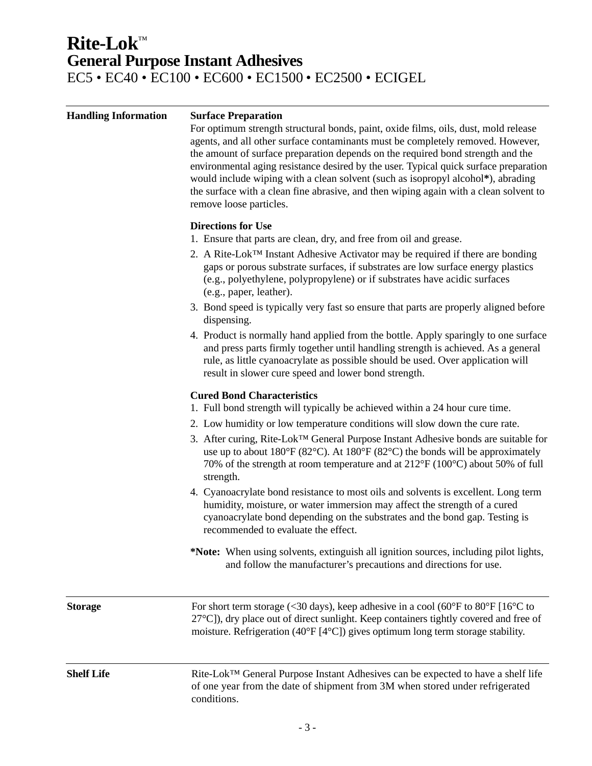## **Rite-Lok**™ **General Purpose Instant Adhesives** EC5 • EC40 • EC100 • EC600 • EC1500 • EC2500 • ECIGEL

| <b>Handling Information</b> | <b>Surface Preparation</b><br>For optimum strength structural bonds, paint, oxide films, oils, dust, mold release<br>agents, and all other surface contaminants must be completely removed. However,<br>the amount of surface preparation depends on the required bond strength and the<br>environmental aging resistance desired by the user. Typical quick surface preparation<br>would include wiping with a clean solvent (such as isopropyl alcohol*), abrading<br>the surface with a clean fine abrasive, and then wiping again with a clean solvent to<br>remove loose particles.                                                                                                                                                                                              |  |  |  |  |  |
|-----------------------------|---------------------------------------------------------------------------------------------------------------------------------------------------------------------------------------------------------------------------------------------------------------------------------------------------------------------------------------------------------------------------------------------------------------------------------------------------------------------------------------------------------------------------------------------------------------------------------------------------------------------------------------------------------------------------------------------------------------------------------------------------------------------------------------|--|--|--|--|--|
|                             | <b>Directions for Use</b><br>1. Ensure that parts are clean, dry, and free from oil and grease.<br>2. A Rite-Lok <sup>TM</sup> Instant Adhesive Activator may be required if there are bonding<br>gaps or porous substrate surfaces, if substrates are low surface energy plastics<br>(e.g., polyethylene, polypropylene) or if substrates have acidic surfaces<br>(e.g., paper, leather).<br>3. Bond speed is typically very fast so ensure that parts are properly aligned before                                                                                                                                                                                                                                                                                                   |  |  |  |  |  |
|                             | dispensing.<br>4. Product is normally hand applied from the bottle. Apply sparingly to one surface<br>and press parts firmly together until handling strength is achieved. As a general<br>rule, as little cyanoacrylate as possible should be used. Over application will<br>result in slower cure speed and lower bond strength.                                                                                                                                                                                                                                                                                                                                                                                                                                                    |  |  |  |  |  |
|                             | <b>Cured Bond Characteristics</b><br>1. Full bond strength will typically be achieved within a 24 hour cure time.<br>2. Low humidity or low temperature conditions will slow down the cure rate.<br>3. After curing, Rite-Lok <sup>TM</sup> General Purpose Instant Adhesive bonds are suitable for<br>use up to about $180^{\circ}F (82^{\circ}C)$ . At $180^{\circ}F (82^{\circ}C)$ the bonds will be approximately<br>70% of the strength at room temperature and at $212^{\circ}F(100^{\circ}C)$ about 50% of full<br>strength.<br>4. Cyanoacrylate bond resistance to most oils and solvents is excellent. Long term<br>humidity, moisture, or water immersion may affect the strength of a cured<br>cyanoacrylate bond depending on the substrates and the bond gap. Testing is |  |  |  |  |  |
|                             | recommended to evaluate the effect.<br>*Note: When using solvents, extinguish all ignition sources, including pilot lights,<br>and follow the manufacturer's precautions and directions for use.                                                                                                                                                                                                                                                                                                                                                                                                                                                                                                                                                                                      |  |  |  |  |  |
| <b>Storage</b>              | For short term storage (<30 days), keep adhesive in a cool (60 $\degree$ F to 80 $\degree$ F [16 $\degree$ C to<br>27°C]), dry place out of direct sunlight. Keep containers tightly covered and free of<br>moisture. Refrigeration (40°F [4°C]) gives optimum long term storage stability.                                                                                                                                                                                                                                                                                                                                                                                                                                                                                           |  |  |  |  |  |
| <b>Shelf Life</b>           | Rite-Lok™ General Purpose Instant Adhesives can be expected to have a shelf life<br>of one year from the date of shipment from 3M when stored under refrigerated<br>conditions.                                                                                                                                                                                                                                                                                                                                                                                                                                                                                                                                                                                                       |  |  |  |  |  |